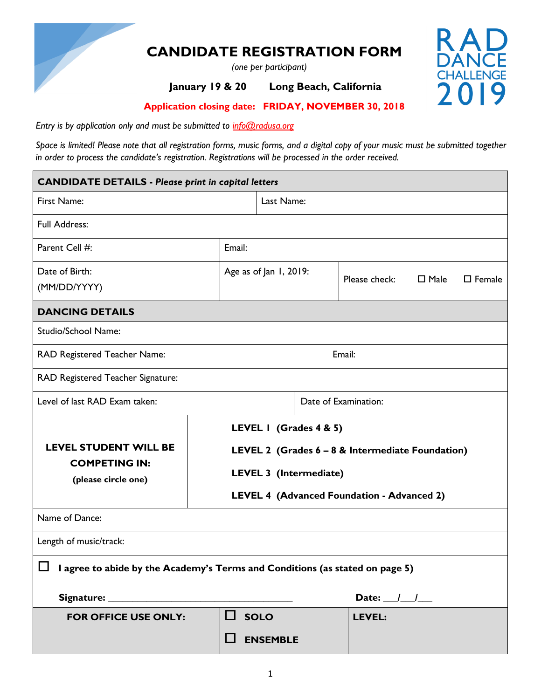

## **CANDIDATE REGISTRATION FORM**

 *(one per participant)*

### **January 19 & 20 Long Beach, California**



 **Application closing date: FRIDAY, NOVEMBER 30, 2018**

*Entry is by application only and must be submitted to info@radusa.org*

*Space is limited! Please note that all registration forms, music forms, and a digital copy of your music must be submitted together in order to process the candidate's registration. Registrations will be processed in the order received.*

| <b>CANDIDATE DETAILS - Please print in capital letters</b>                          |             |                        |                        |                                                  |             |                  |
|-------------------------------------------------------------------------------------|-------------|------------------------|------------------------|--------------------------------------------------|-------------|------------------|
| First Name:                                                                         |             | Last Name:             |                        |                                                  |             |                  |
| <b>Full Address:</b>                                                                |             |                        |                        |                                                  |             |                  |
| Parent Cell #:                                                                      | Email:      |                        |                        |                                                  |             |                  |
| Date of Birth:<br>(MM/DD/YYYY)                                                      |             | Age as of Jan 1, 2019: |                        | Please check:                                    | $\Box$ Male | $\square$ Female |
| <b>DANCING DETAILS</b>                                                              |             |                        |                        |                                                  |             |                  |
| <b>Studio/School Name:</b>                                                          |             |                        |                        |                                                  |             |                  |
| RAD Registered Teacher Name:                                                        |             |                        |                        | Email:                                           |             |                  |
| RAD Registered Teacher Signature:                                                   |             |                        |                        |                                                  |             |                  |
| Level of last RAD Exam taken:                                                       |             |                        | Date of Examination:   |                                                  |             |                  |
|                                                                                     |             |                        | LEVEL I (Grades 4 & 5) |                                                  |             |                  |
| <b>LEVEL STUDENT WILL BE</b>                                                        |             |                        |                        | LEVEL 2 (Grades 6 - 8 & Intermediate Foundation) |             |                  |
| <b>COMPETING IN:</b><br>(please circle one)                                         |             |                        | LEVEL 3 (Intermediate) |                                                  |             |                  |
|                                                                                     |             |                        |                        | LEVEL 4 (Advanced Foundation - Advanced 2)       |             |                  |
| Name of Dance:                                                                      |             |                        |                        |                                                  |             |                  |
| Length of music/track:                                                              |             |                        |                        |                                                  |             |                  |
| $\Box$ I agree to abide by the Academy's Terms and Conditions (as stated on page 5) |             |                        |                        |                                                  |             |                  |
| Date: $\frac{1}{\sqrt{2}}$                                                          |             |                        |                        |                                                  |             |                  |
| <b>FOR OFFICE USE ONLY:</b>                                                         | $\Box$ solo |                        |                        | LEVEL:                                           |             |                  |
|                                                                                     |             | <b>ENSEMBLE</b>        |                        |                                                  |             |                  |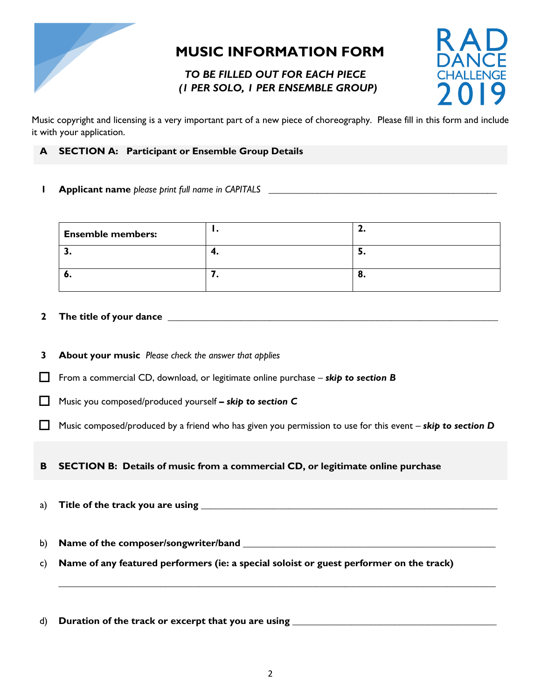

## **MUSIC INFORMATION FORM**

### *TO BE FILLED OUT FOR EACH PIECE (1 PER SOLO, 1 PER ENSEMBLE GROUP)*



Music copyright and licensing is a very important part of a new piece of choreography. Please fill in this form and include it with your application.

- **A SECTION A: Participant or Ensemble Group Details**
- **1 Applicant name** *please print full name in CAPITALS* **\_\_\_\_\_\_\_\_\_\_\_\_\_\_\_\_\_\_\_\_\_\_\_\_\_\_\_\_\_\_\_\_\_\_\_\_\_\_\_\_\_\_\_\_\_\_\_**

| <b>Ensemble members:</b> | . . | --  |
|--------------------------|-----|-----|
|                          | т.  | . . |
| o.                       |     | v.  |

#### **2 The title of your dance \_\_\_\_\_\_\_\_\_\_\_\_\_\_\_\_\_\_\_\_\_\_\_\_\_\_\_\_\_\_\_\_\_\_\_\_\_\_\_\_\_\_\_\_\_\_\_\_\_\_\_\_\_\_\_\_\_\_\_\_\_\_\_\_\_\_\_\_**

- **3 About your music** *Please check the answer that applies*
- From a commercial CD, download, or legitimate online purchase *skip to section B*
- Music you composed/produced yourself **–** *skip to section C*
- Music composed/produced by a friend who has given you permission to use for this event *skip to section D*

**B SECTION B: Details of music from a commercial CD, or legitimate online purchase**

a) **Title of the track you are using 1990 and 1990 and 1990 and 1990 and 1990 and 1990 and 1990 and 1990 and 1990 and 1990 and 1990 and 1990 and 1990 and 1990 and 1990 and 1990 and 1990 and 1990 and 1990 and 1990 and 1990** 

b) **Name of the composer/songwriter/band \_\_\_\_\_\_\_\_\_\_\_\_\_\_\_\_\_\_\_\_\_\_\_\_\_\_\_\_\_\_\_\_\_\_\_\_\_\_\_\_\_\_\_\_\_\_\_\_\_\_\_\_**

- c) **Name of any featured performers (ie: a special soloist or guest performer on the track)**
- d) **Duration of the track or excerpt that you are using \_\_\_\_\_\_\_\_\_\_\_\_\_\_\_\_\_\_\_\_\_\_\_\_\_\_\_\_\_\_\_\_\_\_\_\_\_\_\_\_\_\_**

**\_\_\_\_\_\_\_\_\_\_\_\_\_\_\_\_\_\_\_\_\_\_\_\_\_\_\_\_\_\_\_\_\_\_\_\_\_\_\_\_\_\_\_\_\_\_\_\_\_\_\_\_\_\_\_\_\_\_\_\_\_\_\_\_\_\_\_\_\_\_\_\_\_\_\_\_\_\_\_\_\_\_\_\_\_\_\_\_\_\_**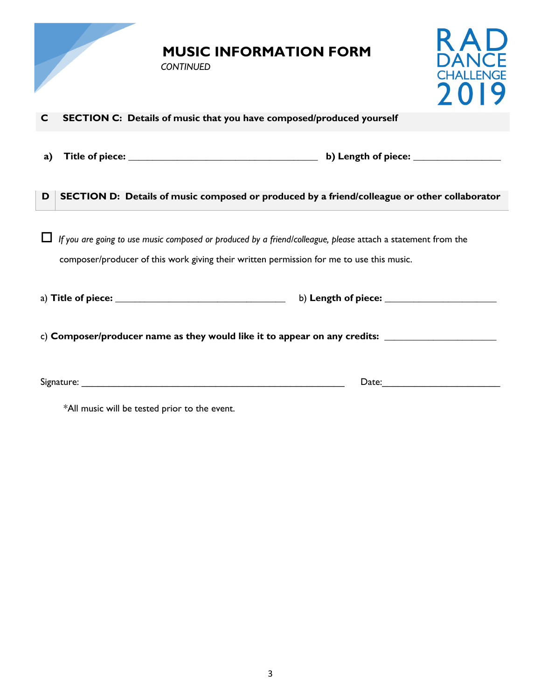|    | <b>MUSIC INFORMATION FORM</b><br><b>CONTINUED</b>                                                                                                                                                        | D |
|----|----------------------------------------------------------------------------------------------------------------------------------------------------------------------------------------------------------|---|
| C  | SECTION C: Details of music that you have composed/produced yourself                                                                                                                                     |   |
| a) |                                                                                                                                                                                                          |   |
| D  | SECTION D: Details of music composed or produced by a friend/colleague or other collaborator                                                                                                             |   |
|    | If you are going to use music composed or produced by a friend/colleague, please attach a statement from the<br>composer/producer of this work giving their written permission for me to use this music. |   |
|    |                                                                                                                                                                                                          |   |
|    |                                                                                                                                                                                                          |   |
|    |                                                                                                                                                                                                          |   |

\*All music will be tested prior to the event.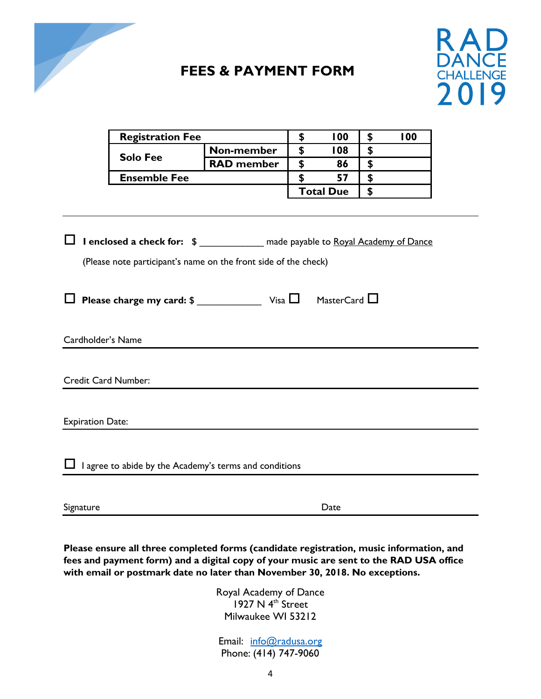

## **FEES & PAYMENT FORM**



|                         | <b>Registration Fee</b>                                                                                                                            |                   | \$<br>100         | \$<br>100 |
|-------------------------|----------------------------------------------------------------------------------------------------------------------------------------------------|-------------------|-------------------|-----------|
|                         | <b>Solo Fee</b>                                                                                                                                    | Non-member        | \$<br>108         | \$        |
|                         |                                                                                                                                                    | <b>RAD</b> member | \$<br>86          | \$        |
|                         | <b>Ensemble Fee</b>                                                                                                                                |                   | \$<br>57          | \$        |
|                         |                                                                                                                                                    |                   | <b>Total Due</b>  | \$        |
|                         | I enclosed a check for: \$ _____________ made payable to Royal Academy of Dance<br>(Please note participant's name on the front side of the check) |                   |                   |           |
| Cardholder's Name       |                                                                                                                                                    |                   | MasterCard $\Box$ |           |
| Credit Card Number:     |                                                                                                                                                    |                   |                   |           |
| <b>Expiration Date:</b> |                                                                                                                                                    |                   |                   |           |
|                         | I agree to abide by the Academy's terms and conditions                                                                                             |                   |                   |           |
| Signature               |                                                                                                                                                    |                   | Date              |           |

**Please ensure all three completed forms (candidate registration, music information, and fees and payment form) and a digital copy of your music are sent to the RAD USA office with email or postmark date no later than November 30, 2018. No exceptions.**

> Royal Academy of Dance 1927 N 4<sup>th</sup> Street Milwaukee WI 53212

Email: [info@](mailto:sales@radusa.org)radusa.org Phone: (414) 747-9060